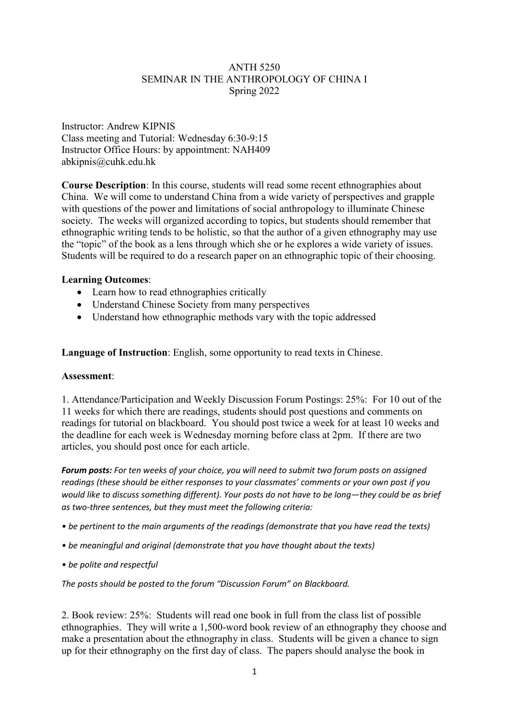# ANTH 5250 SEMINAR IN THE ANTHROPOLOGY OF CHINA I Spring 2022

Instructor: Andrew KIPNIS Class meeting and Tutorial: Wednesday 6:30-9:15 Instructor Office Hours: by appointment: NAH409 abkipnis@cuhk.edu.hk

**Course Description**: In this course, students will read some recent ethnographies about China. We will come to understand China from a wide variety of perspectives and grapple with questions of the power and limitations of social anthropology to illuminate Chinese society. The weeks will organized according to topics, but students should remember that ethnographic writing tends to be holistic, so that the author of a given ethnography may use the "topic" of the book as a lens through which she or he explores a wide variety of issues. Students will be required to do a research paper on an ethnographic topic of their choosing.

# **Learning Outcomes**:

- Learn how to read ethnographies critically
- Understand Chinese Society from many perspectives
- Understand how ethnographic methods vary with the topic addressed

**Language of Instruction**: English, some opportunity to read texts in Chinese.

### **Assessment**:

1. Attendance/Participation and Weekly Discussion Forum Postings: 25%: For 10 out of the 11 weeks for which there are readings, students should post questions and comments on readings for tutorial on blackboard. You should post twice a week for at least 10 weeks and the deadline for each week is Wednesday morning before class at 2pm. If there are two articles, you should post once for each article.

*Forum posts: For ten weeks of your choice, you will need to submit two forum posts on assigned readings (these should be either responses to your classmates' comments or your own post if you would like to discuss something different). Your posts do not have to be long—they could be as brief as two-three sentences, but they must meet the following criteria:*

- *be pertinent to the main arguments of the readings (demonstrate that you have read the texts)*
- *be meaningful and original (demonstrate that you have thought about the texts)*
- *be polite and respectful*

*The posts should be posted to the forum "Discussion Forum" on Blackboard.*

2. Book review: 25%: Students will read one book in full from the class list of possible ethnographies. They will write a 1,500-word book review of an ethnography they choose and make a presentation about the ethnography in class. Students will be given a chance to sign up for their ethnography on the first day of class. The papers should analyse the book in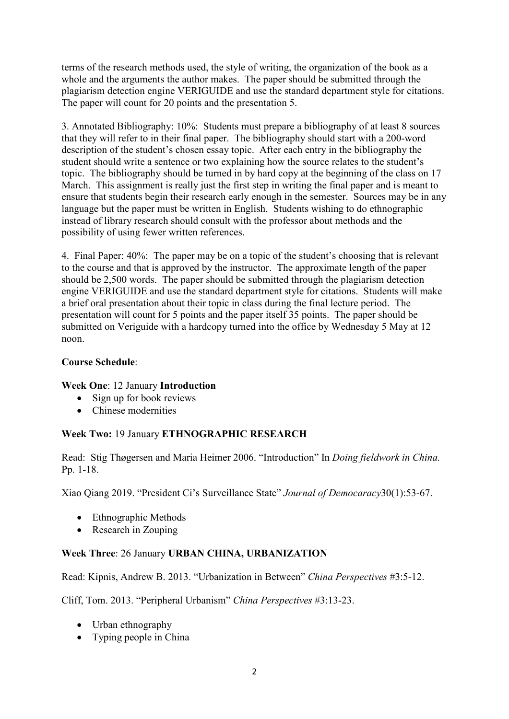terms of the research methods used, the style of writing, the organization of the book as a whole and the arguments the author makes. The paper should be submitted through the plagiarism detection engine VERIGUIDE and use the standard department style for citations. The paper will count for 20 points and the presentation 5.

3. Annotated Bibliography: 10%: Students must prepare a bibliography of at least 8 sources that they will refer to in their final paper. The bibliography should start with a 200-word description of the student's chosen essay topic. After each entry in the bibliography the student should write a sentence or two explaining how the source relates to the student's topic. The bibliography should be turned in by hard copy at the beginning of the class on 17 March. This assignment is really just the first step in writing the final paper and is meant to ensure that students begin their research early enough in the semester. Sources may be in any language but the paper must be written in English. Students wishing to do ethnographic instead of library research should consult with the professor about methods and the possibility of using fewer written references.

4. Final Paper: 40%: The paper may be on a topic of the student's choosing that is relevant to the course and that is approved by the instructor. The approximate length of the paper should be 2,500 words. The paper should be submitted through the plagiarism detection engine VERIGUIDE and use the standard department style for citations. Students will make a brief oral presentation about their topic in class during the final lecture period. The presentation will count for 5 points and the paper itself 35 points. The paper should be submitted on Veriguide with a hardcopy turned into the office by Wednesday 5 May at 12 noon.

# **Course Schedule**:

# **Week One**: 12 January **Introduction**

- Sign up for book reviews
- Chinese modernities

# **Week Two:** 19 January **ETHNOGRAPHIC RESEARCH**

Read: Stig Thøgersen and Maria Heimer 2006. "Introduction" In *Doing fieldwork in China.* Pp. 1-18.

Xiao Qiang 2019. "President Ci's Surveillance State" *Journal of Democaracy*30(1):53-67.

- Ethnographic Methods
- Research in Zouping

# **Week Three**: 26 January **URBAN CHINA, URBANIZATION**

Read: Kipnis, Andrew B. 2013. "Urbanization in Between" *China Perspectives* #3:5-12.

Cliff, Tom. 2013. "Peripheral Urbanism" *China Perspectives* #3:13-23.

- Urban ethnography
- Typing people in China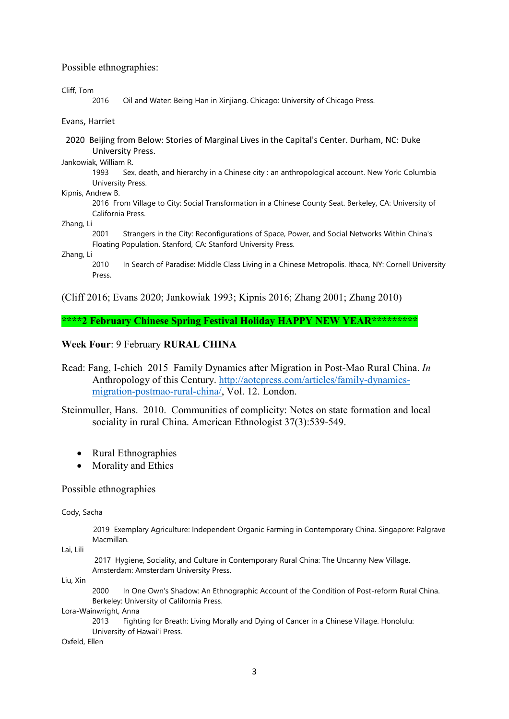#### Possible ethnographies:

Cliff, Tom

2016 Oil and Water: Being Han in Xinjiang. Chicago: University of Chicago Press.

#### Evans, Harriet

 2020 Beijing from Below: Stories of Marginal Lives in the Capital's Center. Durham, NC: Duke University Press.

Jankowiak, William R.

1993 Sex, death, and hierarchy in a Chinese city : an anthropological account. New York: Columbia University Press.

#### Kipnis, Andrew B.

2016 From Village to City: Social Transformation in a Chinese County Seat. Berkeley, CA: University of California Press.

Zhang, Li

2001 Strangers in the City: Reconfigurations of Space, Power, and Social Networks Within China's Floating Population. Stanford, CA: Stanford University Press.

#### Zhang, Li

2010 In Search of Paradise: Middle Class Living in a Chinese Metropolis. Ithaca, NY: Cornell University Press.

[\(Cliff 2016;](#page-10-0) [Evans 2020;](#page-11-0) [Jankowiak 1993;](#page-11-1) [Kipnis 2016;](#page-12-0) [Zhang 2001;](#page-14-0) [Zhang 2010\)](#page-14-1)

**\*\*\*\*2 February Chinese Spring Festival Holiday HAPPY NEW YEAR\*\*\*\*\*\*\*\*\***

### **Week Four**: 9 February **RURAL CHINA**

Read: Fang, I-chieh 2015 Family Dynamics after Migration in Post-Mao Rural China. *In* Anthropology of this Century. [http://aotcpress.com/articles/family-dynamics](http://aotcpress.com/articles/family-dynamics-migration-postmao-rural-china/)[migration-postmao-rural-china/,](http://aotcpress.com/articles/family-dynamics-migration-postmao-rural-china/) Vol. 12. London.

Steinmuller, Hans. 2010. Communities of complicity: Notes on state formation and local sociality in rural China. American Ethnologist 37(3):539-549.

- Rural Ethnographies
- Morality and Ethics

#### Possible ethnographies

Cody, Sacha

 2019 Exemplary Agriculture: Independent Organic Farming in Contemporary China. Singapore: Palgrave Macmillan.

Lai, Lili

2017 Hygiene, Sociality, and Culture in Contemporary Rural China: The Uncanny New Village. Amsterdam: Amsterdam University Press.

Liu, Xin

2000 In One Own's Shadow: An Ethnographic Account of the Condition of Post-reform Rural China. Berkeley: University of California Press.

Lora-Wainwright, Anna

2013 Fighting for Breath: Living Morally and Dying of Cancer in a Chinese Village. Honolulu: University of Hawai'i Press.

Oxfeld, Ellen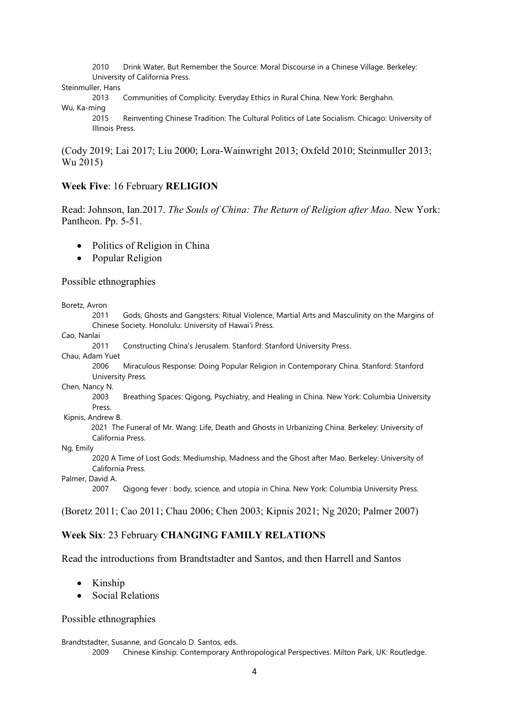2010 Drink Water, But Remember the Source: Moral Discourse in a Chinese Village. Berkeley: University of California Press.

Steinmuller, Hans

2013 Communities of Complicity: Everyday Ethics in Rural China. New York: Berghahn.

Wu, Ka-ming

2015 Reinventing Chinese Tradition: The Cultural Politics of Late Socialism. Chicago: University of Illinois Press.

[\(Cody 2019;](#page-10-1) [Lai 2017;](#page-12-1) [Liu 2000;](#page-12-2) [Lora-Wainwright](#page-12-3) 2013; [Oxfeld 2010;](#page-13-0) [Steinmuller 2013;](#page-13-1) [Wu 2015\)](#page-13-2)

### **Week Five**: 16 February **RELIGION**

Read: Johnson, Ian.2017. *The Souls of China: The Return of Religion after Mao*. New York: Pantheon. Pp. 5-51.

- Politics of Religion in China
- Popular Religion

Possible ethnographies

Boretz, Avron

2011 Gods, Ghosts and Gangsters: Ritual Violence, Martial Arts and Masculinity on the Margins of Chinese Society. Honolulu: University of Hawai'i Press.

Cao, Nanlai

2011 Constructing China's Jerusalem. Stanford: Stanford University Press.

Chau, Adam Yuet

2006 Miraculous Response: Doing Popular Religion in Contemporary China. Stanford: Stanford University Press.

Chen, Nancy N.

2003 Breathing Spaces: Qigong, Psychiatry, and Healing in China. New York: Columbia University Press.

Kipnis, Andrew B.

 2021 The Funeral of Mr. Wang: Life, Death and Ghosts in Urbanizing China. Berkeley: University of California Press.

Ng, Emily

2020 A Time of Lost Gods: Mediumship, Madness and the Ghost after Mao. Berkeley: University of California Press.

Palmer, David A.

2007 Qigong fever : body, science, and utopia in China. New York: Columbia University Press.

[\(Boretz 2011;](#page-10-2) [Cao 2011;](#page-10-3) [Chau 2006;](#page-10-4) [Chen 2003;](#page-10-5) [Kipnis 2021;](#page-12-4) [Ng 2020;](#page-12-5) [Palmer 2007\)](#page-13-3)

### **Week Six**: 23 February **CHANGING FAMILY RELATIONS**

Read the introductions from Brandtstadter and Santos, and then Harrell and Santos

- Kinship
- Social Relations

### Possible ethnographies

Brandtstadter, Susanne, and Goncalo D. Santos, eds.

2009 Chinese Kinship: Contemporary Anthropological Perspectives. Milton Park, UK: Routledge.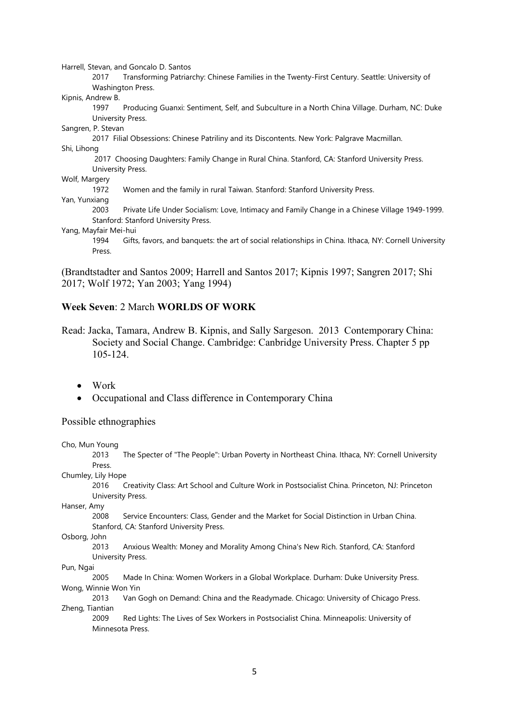Harrell, Stevan, and Goncalo D. Santos

2017 Transforming Patriarchy: Chinese Families in the Twenty-First Century. Seattle: University of Washington Press.

Kipnis, Andrew B.

1997 Producing Guanxi: Sentiment, Self, and Subculture in a North China Village. Durham, NC: Duke University Press.

Sangren, P. Stevan

2017 Filial Obsessions: Chinese Patriliny and its Discontents. New York: Palgrave Macmillan.

Shi, Lihong

2017 Choosing Daughters: Family Change in Rural China. Stanford, CA: Stanford University Press. University Press.

Wolf, Margery

1972 Women and the family in rural Taiwan. Stanford: Stanford University Press.

Yan, Yunxiang

2003 Private Life Under Socialism: Love, Intimacy and Family Change in a Chinese Village 1949-1999. Stanford: Stanford University Press.

Yang, Mayfair Mei-hui

1994 Gifts, favors, and banquets: the art of social relationships in China. Ithaca, NY: Cornell University Press.

[\(Brandtstadter and Santos 2009;](#page-10-6) [Harrell and Santos 2017;](#page-11-2) [Kipnis 1997;](#page-11-3) [Sangren 2017;](#page-13-4) [Shi](#page-13-5)  [2017;](#page-13-5) [Wolf 1972;](#page-13-6) [Yan 2003;](#page-14-2) [Yang 1994\)](#page-14-3)

### **Week Seven**: 2 March **WORLDS OF WORK**

Read: Jacka, Tamara, Andrew B. Kipnis, and Sally Sargeson. 2013 Contemporary China: Society and Social Change. Cambridge: Canbridge University Press. Chapter 5 pp 105-124.

• Work

• Occupational and Class difference in Contemporary China

### Possible ethnographies

Cho, Mun Young

2013 The Specter of "The People": Urban Poverty in Northeast China. Ithaca, NY: Cornell University Press.

Chumley, Lily Hope

2016 Creativity Class: Art School and Culture Work in Postsocialist China. Princeton, NJ: Princeton University Press.

Hanser, Amy

2008 Service Encounters: Class, Gender and the Market for Social Distinction in Urban China. Stanford, CA: Stanford University Press.

Osborg, John

2013 Anxious Wealth: Money and Morality Among China's New Rich. Stanford, CA: Stanford University Press.

Pun, Ngai

2005 Made In China: Women Workers in a Global Workplace. Durham: Duke University Press. Wong, Winnie Won Yin

2013 Van Gogh on Demand: China and the Readymade. Chicago: University of Chicago Press. Zheng, Tiantian

2009 Red Lights: The Lives of Sex Workers in Postsocialist China. Minneapolis: University of Minnesota Press.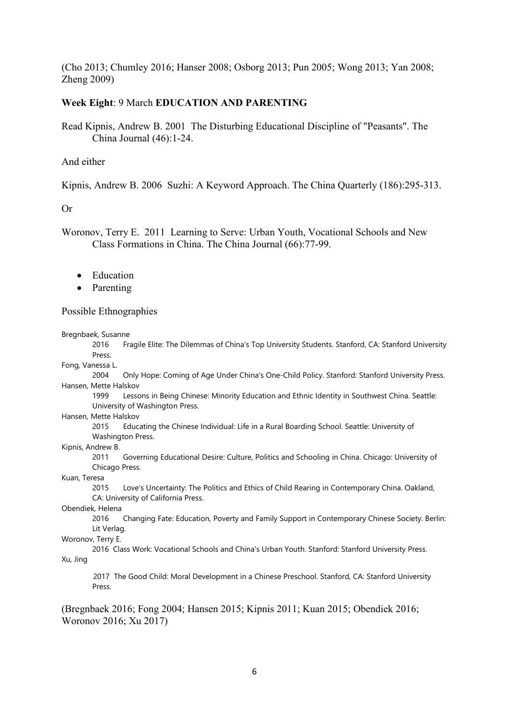[\(Cho 2013;](#page-10-7) [Chumley 2016;](#page-10-8) [Hanser 2008;](#page-11-4) [Osborg 2013;](#page-13-7) [Pun 2005;](#page-13-8) [Wong 2013;](#page-13-9) [Yan 2008;](#page-14-4) [Zheng 2009\)](#page-14-5)

### **Week Eight**: 9 March **EDUCATION AND PARENTING**

Read Kipnis, Andrew B. 2001 The Disturbing Educational Discipline of "Peasants". The China Journal (46):1-24.

### And either

Kipnis, Andrew B. 2006 Suzhi: A Keyword Approach. The China Quarterly (186):295-313.

### Or

Woronov, Terry E. 2011 Learning to Serve: Urban Youth, Vocational Schools and New Class Formations in China. The China Journal (66):77-99.

- Education
- Parenting

### Possible Ethnographies

#### Bregnbaek, Susanne

2016 Fragile Elite: The Dilemmas of China's Top University Students. Stanford, CA: Stanford University Press.

Fong, Vanessa L.

2004 Only Hope: Coming of Age Under China's One-Child Policy. Stanford: Stanford University Press. Hansen, Mette Halskov

1999 Lessons in Being Chinese: Minority Education and Ethnic Identity in Southwest China. Seattle: University of Washington Press.

Hansen, Mette Halskov

2015 Educating the Chinese Individual: Life in a Rural Boarding School. Seattle: University of Washington Press.

Kipnis, Andrew B.

2011 Governing Educational Desire: Culture, Politics and Schooling in China. Chicago: University of Chicago Press.

#### Kuan, Teresa

2015 Love's Uncertainty: The Politics and Ethics of Child Rearing in Contemporary China. Oakland, CA: University of California Press.

#### Obendiek, Helena

2016 Changing Fate: Education, Poverty and Family Support in Contemporary Chinese Society. Berlin: Lit Verlag.

#### Woronov, Terry E.

2016 Class Work: Vocational Schools and China's Urban Youth. Stanford: Stanford University Press. Xu, Jing

 2017 The Good Child: Moral Development in a Chinese Preschool. Stanford, CA: Stanford University Press.

[\(Bregnbaek 2016;](#page-10-9) [Fong 2004;](#page-11-5) [Hansen 2015;](#page-11-6) [Kipnis 2011;](#page-11-7) [Kuan 2015;](#page-12-6) [Obendiek 2016;](#page-13-10) [Woronov 2016;](#page-13-11) [Xu 2017\)](#page-13-12)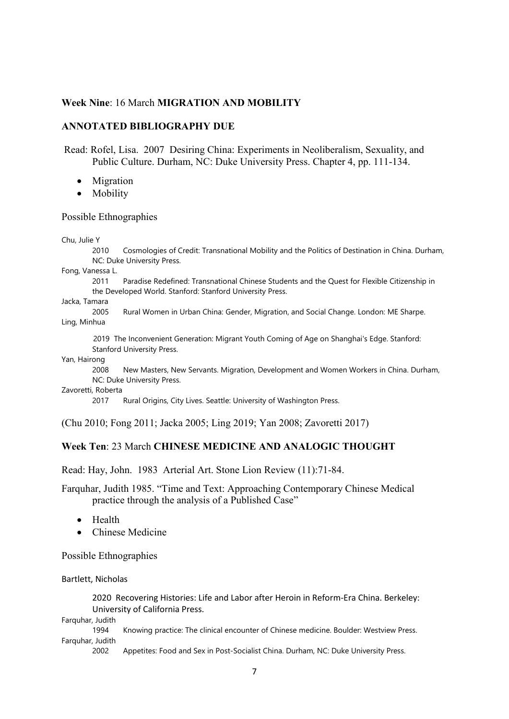### **Week Nine**: 16 March **MIGRATION AND MOBILITY**

### **ANNOTATED BIBLIOGRAPHY DUE**

Read: Rofel, Lisa. 2007 Desiring China: Experiments in Neoliberalism, Sexuality, and Public Culture. Durham, NC: Duke University Press. Chapter 4, pp. 111-134.

- Migration
- Mobility

#### Possible Ethnographies

#### Chu, Julie Y

2010 Cosmologies of Credit: Transnational Mobility and the Politics of Destination in China. Durham, NC: Duke University Press.

Fong, Vanessa L.

2011 Paradise Redefined: Transnational Chinese Students and the Quest for Flexible Citizenship in the Developed World. Stanford: Stanford University Press.

#### Jacka, Tamara

2005 Rural Women in Urban China: Gender, Migration, and Social Change. London: ME Sharpe. Ling, Minhua

 2019 The Inconvenient Generation: Migrant Youth Coming of Age on Shanghai's Edge. Stanford: Stanford University Press.

Yan, Hairong

2008 New Masters, New Servants. Migration, Development and Women Workers in China. Durham, NC: Duke University Press.

Zavoretti, Roberta

2017 Rural Origins, City Lives. Seattle: University of Washington Press.

[\(Chu 2010;](#page-10-10) [Fong 2011;](#page-11-8) [Jacka 2005;](#page-11-9) [Ling 2019;](#page-12-7) [Yan 2008;](#page-14-4) [Zavoretti 2017\)](#page-14-6)

### **Week Ten**: 23 March **CHINESE MEDICINE AND ANALOGIC THOUGHT**

Read: Hay, John. 1983 Arterial Art. Stone Lion Review (11):71-84.

Farquhar, Judith 1985. "Time and Text: Approaching Contemporary Chinese Medical practice through the analysis of a Published Case"

- Health
- Chinese Medicine

Possible Ethnographies

Bartlett, Nicholas

2020 Recovering Histories: Life and Labor after Heroin in Reform-Era China. Berkeley: University of California Press.

Farquhar, Judith

1994 Knowing practice: The clinical encounter of Chinese medicine. Boulder: Westview Press. Farquhar, Judith

2002 Appetites: Food and Sex in Post-Socialist China. Durham, NC: Duke University Press.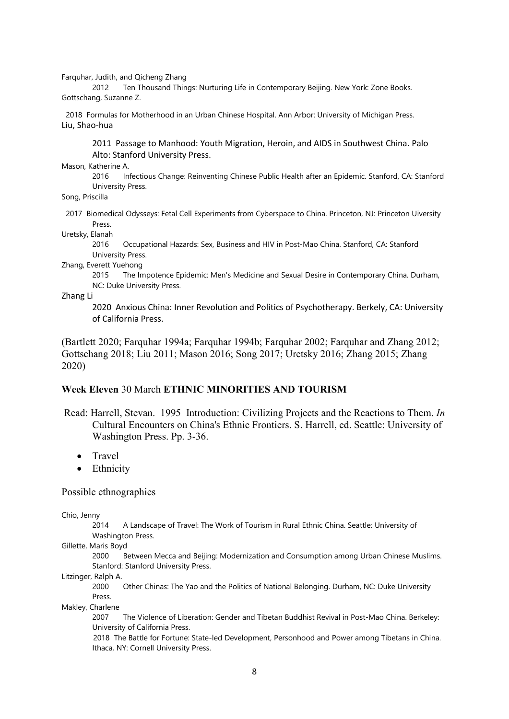Farquhar, Judith, and Qicheng Zhang

2012 Ten Thousand Things: Nurturing Life in Contemporary Beijing. New York: Zone Books. Gottschang, Suzanne Z.

 2018 Formulas for Motherhood in an Urban Chinese Hospital. Ann Arbor: University of Michigan Press. Liu, Shao-hua

2011 Passage to Manhood: Youth Migration, Heroin, and AIDS in Southwest China. Palo Alto: Stanford University Press.

Mason, Katherine A.

2016 Infectious Change: Reinventing Chinese Public Health after an Epidemic. Stanford, CA: Stanford University Press.

Song, Priscilla

 2017 Biomedical Odysseys: Fetal Cell Experiments from Cyberspace to China. Princeton, NJ: Princeton Uiversity Press.

Uretsky, Elanah

2016 Occupational Hazards: Sex, Business and HIV in Post-Mao China. Stanford, CA: Stanford University Press.

Zhang, Everett Yuehong

2015 The Impotence Epidemic: Men's Medicine and Sexual Desire in Contemporary China. Durham, NC: Duke University Press.

Zhang Li

2020 Anxious China: Inner Revolution and Politics of Psychotherapy. Berkely, CA: University of California Press.

[\(Bartlett 2020;](#page-10-11) [Farquhar 1994a;](#page-11-10) [Farquhar 1994b;](#page-11-11) [Farquhar 2002;](#page-11-12) [Farquhar and Zhang 2012;](#page-11-13) [Gottschang 2018;](#page-11-14) [Liu 2011;](#page-12-8) [Mason 2016;](#page-12-9) [Song 2017;](#page-13-13) [Uretsky 2016;](#page-13-14) [Zhang 2015;](#page-14-7) [Zhang](#page-14-8)  [2020\)](#page-14-8)

## **Week Eleven** 30 March **ETHNIC MINORITIES AND TOURISM**

- Read: Harrell, Stevan. 1995 Introduction: Civilizing Projects and the Reactions to Them. *In* Cultural Encounters on China's Ethnic Frontiers. S. Harrell, ed. Seattle: University of Washington Press. Pp. 3-36.
	- Travel
	- Ethnicity

Possible ethnographies

Chio, Jenny

2014 A Landscape of Travel: The Work of Tourism in Rural Ethnic China. Seattle: University of Washington Press.

Gillette, Maris Boyd

2000 Between Mecca and Beijing: Modernization and Consumption among Urban Chinese Muslims. Stanford: Stanford University Press.

Litzinger, Ralph A.

2000 Other Chinas: The Yao and the Politics of National Belonging. Durham, NC: Duke University Press.

Makley, Charlene

2007 The Violence of Liberation: Gender and Tibetan Buddhist Revival in Post-Mao China. Berkeley: University of California Press.

 2018 The Battle for Fortune: State-led Development, Personhood and Power among Tibetans in China. Ithaca, NY: Cornell University Press.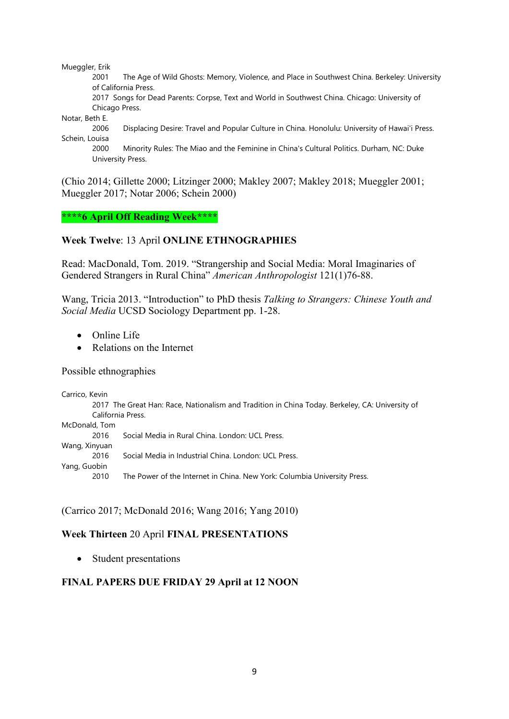Mueggler, Erik

2001 The Age of Wild Ghosts: Memory, Violence, and Place in Southwest China. Berkeley: University of California Press.

2017 Songs for Dead Parents: Corpse, Text and World in Southwest China. Chicago: University of Chicago Press.

Notar, Beth E.

2006 Displacing Desire: Travel and Popular Culture in China. Honolulu: University of Hawai'i Press. Schein, Louisa

2000 Minority Rules: The Miao and the Feminine in China's Cultural Politics. Durham, NC: Duke University Press.

[\(Chio 2014;](#page-10-12) [Gillette 2000;](#page-11-15) [Litzinger 2000;](#page-12-10) [Makley 2007;](#page-12-11) [Makley 2018;](#page-12-12) [Mueggler 2001;](#page-12-13) [Mueggler 2017;](#page-12-14) [Notar 2006;](#page-12-15) [Schein 2000\)](#page-13-15)

**\*\*\*\*6 April Off Reading Week\*\*\*\***

# **Week Twelve**: 13 April **ONLINE ETHNOGRAPHIES**

Read: MacDonald, Tom. 2019. "Strangership and Social Media: Moral Imaginaries of Gendered Strangers in Rural China" *American Anthropologist* 121(1)76-88.

Wang, Tricia 2013. "Introduction" to PhD thesis *Talking to Strangers: Chinese Youth and Social Media* UCSD Sociology Department pp. 1-28.

- Online Life
- Relations on the Internet

Possible ethnographies

| Carrico, Kevin |                                                                                                 |
|----------------|-------------------------------------------------------------------------------------------------|
|                | 2017 The Great Han: Race, Nationalism and Tradition in China Today. Berkeley, CA: University of |
|                | California Press.                                                                               |
| McDonald, Tom  |                                                                                                 |
| 2016           | Social Media in Rural China. London: UCL Press.                                                 |
| Wang, Xinyuan  |                                                                                                 |
| 2016           | Social Media in Industrial China. London: UCL Press.                                            |
| Yang, Guobin   |                                                                                                 |
| 2010           | The Power of the Internet in China. New York: Columbia University Press.                        |

[\(Carrico 2017;](#page-10-13) [McDonald 2016;](#page-12-16) [Wang 2016;](#page-13-16) [Yang 2010\)](#page-14-9)

## **Week Thirteen** 20 April **FINAL PRESENTATIONS**

• Student presentations

# **FINAL PAPERS DUE FRIDAY 29 April at 12 NOON**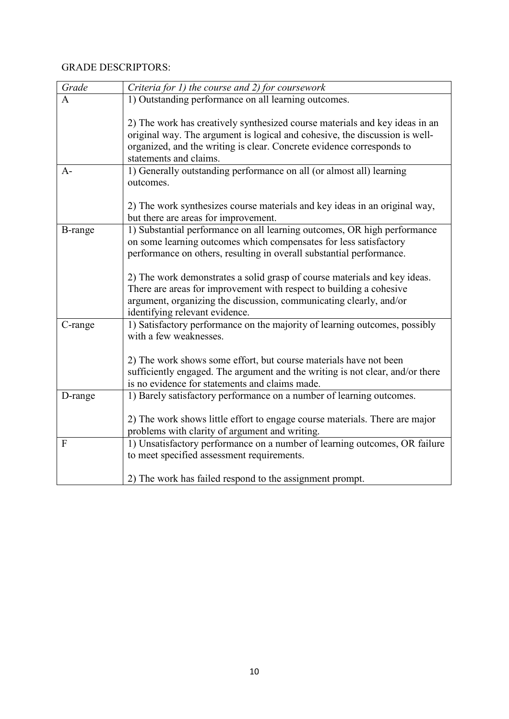# GRADE DESCRIPTORS:

| Grade          | Criteria for 1) the course and 2) for coursework                                                                                                                                                                                                              |
|----------------|---------------------------------------------------------------------------------------------------------------------------------------------------------------------------------------------------------------------------------------------------------------|
| A              | 1) Outstanding performance on all learning outcomes.                                                                                                                                                                                                          |
|                | 2) The work has creatively synthesized course materials and key ideas in an<br>original way. The argument is logical and cohesive, the discussion is well-<br>organized, and the writing is clear. Concrete evidence corresponds to<br>statements and claims. |
| $A-$           | 1) Generally outstanding performance on all (or almost all) learning<br>outcomes.                                                                                                                                                                             |
|                | 2) The work synthesizes course materials and key ideas in an original way,<br>but there are areas for improvement.                                                                                                                                            |
| <b>B-range</b> | 1) Substantial performance on all learning outcomes, OR high performance                                                                                                                                                                                      |
|                | on some learning outcomes which compensates for less satisfactory<br>performance on others, resulting in overall substantial performance.                                                                                                                     |
|                |                                                                                                                                                                                                                                                               |
|                | 2) The work demonstrates a solid grasp of course materials and key ideas.                                                                                                                                                                                     |
|                | There are areas for improvement with respect to building a cohesive                                                                                                                                                                                           |
|                | argument, organizing the discussion, communicating clearly, and/or                                                                                                                                                                                            |
| C-range        | identifying relevant evidence.<br>1) Satisfactory performance on the majority of learning outcomes, possibly                                                                                                                                                  |
|                | with a few weaknesses.                                                                                                                                                                                                                                        |
|                |                                                                                                                                                                                                                                                               |
|                | 2) The work shows some effort, but course materials have not been                                                                                                                                                                                             |
|                | sufficiently engaged. The argument and the writing is not clear, and/or there<br>is no evidence for statements and claims made.                                                                                                                               |
| D-range        | 1) Barely satisfactory performance on a number of learning outcomes.                                                                                                                                                                                          |
|                |                                                                                                                                                                                                                                                               |
|                | 2) The work shows little effort to engage course materials. There are major<br>problems with clarity of argument and writing.                                                                                                                                 |
| F              | 1) Unsatisfactory performance on a number of learning outcomes, OR failure                                                                                                                                                                                    |
|                | to meet specified assessment requirements.                                                                                                                                                                                                                    |
|                | 2) The work has failed respond to the assignment prompt.                                                                                                                                                                                                      |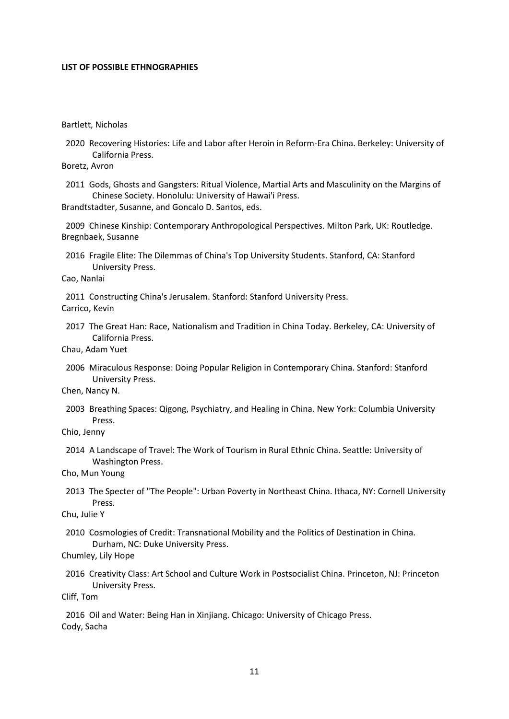#### **LIST OF POSSIBLE ETHNOGRAPHIES**

<span id="page-10-11"></span>Bartlett, Nicholas

 2020 Recovering Histories: Life and Labor after Heroin in Reform-Era China. Berkeley: University of California Press.

<span id="page-10-2"></span>Boretz, Avron

 2011 Gods, Ghosts and Gangsters: Ritual Violence, Martial Arts and Masculinity on the Margins of Chinese Society. Honolulu: University of Hawai'i Press.

<span id="page-10-6"></span>Brandtstadter, Susanne, and Goncalo D. Santos, eds.

<span id="page-10-9"></span> 2009 Chinese Kinship: Contemporary Anthropological Perspectives. Milton Park, UK: Routledge. Bregnbaek, Susanne

 2016 Fragile Elite: The Dilemmas of China's Top University Students. Stanford, CA: Stanford University Press.

<span id="page-10-3"></span>Cao, Nanlai

<span id="page-10-13"></span> 2011 Constructing China's Jerusalem. Stanford: Stanford University Press. Carrico, Kevin

 2017 The Great Han: Race, Nationalism and Tradition in China Today. Berkeley, CA: University of California Press.

<span id="page-10-4"></span>Chau, Adam Yuet

 2006 Miraculous Response: Doing Popular Religion in Contemporary China. Stanford: Stanford University Press.

<span id="page-10-5"></span>Chen, Nancy N.

 2003 Breathing Spaces: Qigong, Psychiatry, and Healing in China. New York: Columbia University Press.

<span id="page-10-12"></span>Chio, Jenny

 2014 A Landscape of Travel: The Work of Tourism in Rural Ethnic China. Seattle: University of Washington Press.

<span id="page-10-7"></span>Cho, Mun Young

 2013 The Specter of "The People": Urban Poverty in Northeast China. Ithaca, NY: Cornell University Press.

<span id="page-10-10"></span>Chu, Julie Y

 2010 Cosmologies of Credit: Transnational Mobility and the Politics of Destination in China. Durham, NC: Duke University Press.

<span id="page-10-8"></span>Chumley, Lily Hope

 2016 Creativity Class: Art School and Culture Work in Postsocialist China. Princeton, NJ: Princeton University Press.

<span id="page-10-0"></span>Cliff, Tom

<span id="page-10-1"></span> 2016 Oil and Water: Being Han in Xinjiang. Chicago: University of Chicago Press. Cody, Sacha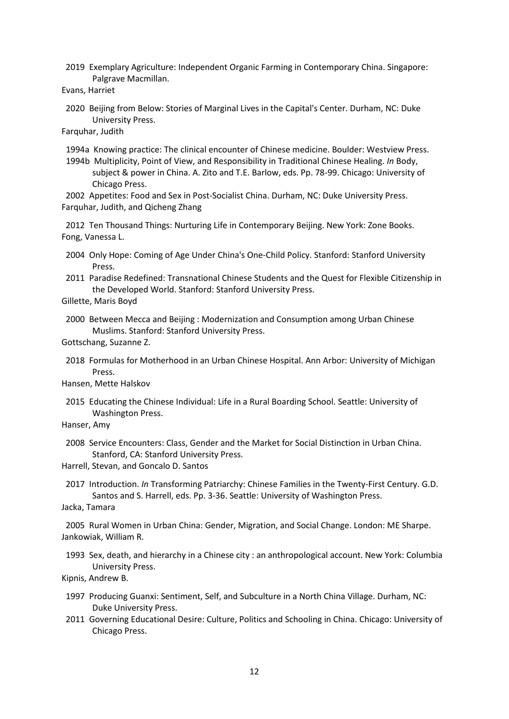2019 Exemplary Agriculture: Independent Organic Farming in Contemporary China. Singapore: Palgrave Macmillan.

<span id="page-11-0"></span>Evans, Harriet

 2020 Beijing from Below: Stories of Marginal Lives in the Capital's Center. Durham, NC: Duke University Press.

<span id="page-11-10"></span>Farquhar, Judith

1994a Knowing practice: The clinical encounter of Chinese medicine. Boulder: Westview Press.

<span id="page-11-11"></span> 1994b Multiplicity, Point of View, and Responsibility in Traditional Chinese Healing. *In* Body, subject & power in China. A. Zito and T.E. Barlow, eds. Pp. 78-99. Chicago: University of Chicago Press.

<span id="page-11-13"></span><span id="page-11-12"></span> 2002 Appetites: Food and Sex in Post-Socialist China. Durham, NC: Duke University Press. Farquhar, Judith, and Qicheng Zhang

<span id="page-11-5"></span> 2012 Ten Thousand Things: Nurturing Life in Contemporary Beijing. New York: Zone Books. Fong, Vanessa L.

- 2004 Only Hope: Coming of Age Under China's One-Child Policy. Stanford: Stanford University Press.
- <span id="page-11-8"></span> 2011 Paradise Redefined: Transnational Chinese Students and the Quest for Flexible Citizenship in the Developed World. Stanford: Stanford University Press.

<span id="page-11-15"></span>Gillette, Maris Boyd

 2000 Between Mecca and Beijing : Modernization and Consumption among Urban Chinese Muslims. Stanford: Stanford University Press.

<span id="page-11-14"></span>Gottschang, Suzanne Z.

 2018 Formulas for Motherhood in an Urban Chinese Hospital. Ann Arbor: University of Michigan Press.

<span id="page-11-6"></span>Hansen, Mette Halskov

- 2015 Educating the Chinese Individual: Life in a Rural Boarding School. Seattle: University of Washington Press.
- <span id="page-11-4"></span>Hanser, Amy
- 2008 Service Encounters: Class, Gender and the Market for Social Distinction in Urban China. Stanford, CA: Stanford University Press.

<span id="page-11-2"></span>Harrell, Stevan, and Goncalo D. Santos

 2017 Introduction. *In* Transforming Patriarchy: Chinese Families in the Twenty-First Century. G.D. Santos and S. Harrell, eds. Pp. 3-36. Seattle: University of Washington Press.

<span id="page-11-9"></span>Jacka, Tamara

<span id="page-11-1"></span> 2005 Rural Women in Urban China: Gender, Migration, and Social Change. London: ME Sharpe. Jankowiak, William R.

 1993 Sex, death, and hierarchy in a Chinese city : an anthropological account. New York: Columbia University Press.

<span id="page-11-3"></span>Kipnis, Andrew B.

- 1997 Producing Guanxi: Sentiment, Self, and Subculture in a North China Village. Durham, NC: Duke University Press.
- <span id="page-11-7"></span> 2011 Governing Educational Desire: Culture, Politics and Schooling in China. Chicago: University of Chicago Press.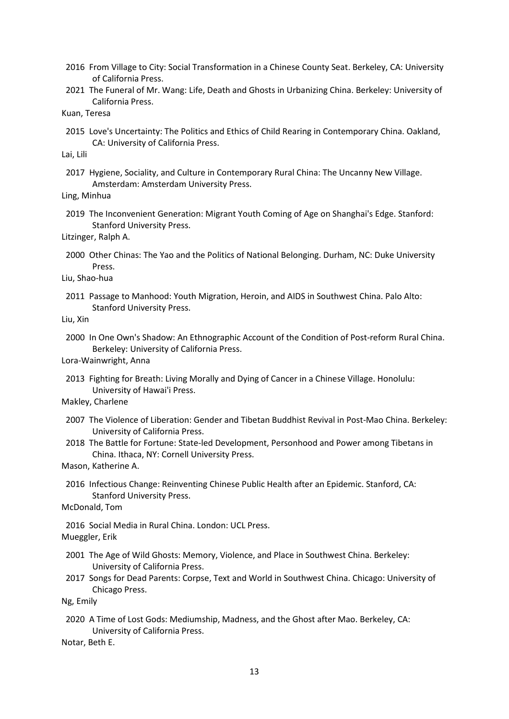- <span id="page-12-0"></span> 2016 From Village to City: Social Transformation in a Chinese County Seat. Berkeley, CA: University of California Press.
- <span id="page-12-4"></span> 2021 The Funeral of Mr. Wang: Life, Death and Ghosts in Urbanizing China. Berkeley: University of California Press.
- <span id="page-12-6"></span>Kuan, Teresa
- 2015 Love's Uncertainty: The Politics and Ethics of Child Rearing in Contemporary China. Oakland, CA: University of California Press.

<span id="page-12-1"></span>Lai, Lili

 2017 Hygiene, Sociality, and Culture in Contemporary Rural China: The Uncanny New Village. Amsterdam: Amsterdam University Press.

<span id="page-12-7"></span>Ling, Minhua

 2019 The Inconvenient Generation: Migrant Youth Coming of Age on Shanghai's Edge. Stanford: Stanford University Press.

<span id="page-12-10"></span>Litzinger, Ralph A.

- 2000 Other Chinas: The Yao and the Politics of National Belonging. Durham, NC: Duke University Press.
- <span id="page-12-8"></span>Liu, Shao-hua
- 2011 Passage to Manhood: Youth Migration, Heroin, and AIDS in Southwest China. Palo Alto: Stanford University Press.

<span id="page-12-2"></span>Liu, Xin

 2000 In One Own's Shadow: An Ethnographic Account of the Condition of Post-reform Rural China. Berkeley: University of California Press.

<span id="page-12-3"></span>Lora-Wainwright, Anna

- 2013 Fighting for Breath: Living Morally and Dying of Cancer in a Chinese Village. Honolulu: University of Hawai'i Press.
- <span id="page-12-11"></span>Makley, Charlene
- 2007 The Violence of Liberation: Gender and Tibetan Buddhist Revival in Post-Mao China. Berkeley: University of California Press.
- <span id="page-12-12"></span> 2018 The Battle for Fortune: State-led Development, Personhood and Power among Tibetans in China. Ithaca, NY: Cornell University Press.

<span id="page-12-9"></span>Mason, Katherine A.

- 2016 Infectious Change: Reinventing Chinese Public Health after an Epidemic. Stanford, CA: Stanford University Press.
- <span id="page-12-16"></span>McDonald, Tom

<span id="page-12-13"></span> 2016 Social Media in Rural China. London: UCL Press. Mueggler, Erik

- 2001 The Age of Wild Ghosts: Memory, Violence, and Place in Southwest China. Berkeley: University of California Press.
- <span id="page-12-14"></span> 2017 Songs for Dead Parents: Corpse, Text and World in Southwest China. Chicago: University of Chicago Press.

<span id="page-12-5"></span>Ng, Emily

 2020 A Time of Lost Gods: Mediumship, Madness, and the Ghost after Mao. Berkeley, CA: University of California Press.

<span id="page-12-15"></span>Notar, Beth E.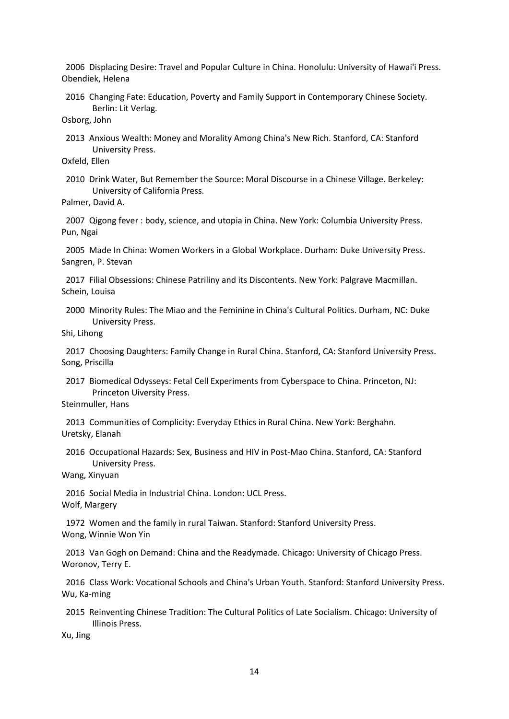<span id="page-13-10"></span> 2006 Displacing Desire: Travel and Popular Culture in China. Honolulu: University of Hawai'i Press. Obendiek, Helena

 2016 Changing Fate: Education, Poverty and Family Support in Contemporary Chinese Society. Berlin: Lit Verlag.

<span id="page-13-7"></span>Osborg, John

 2013 Anxious Wealth: Money and Morality Among China's New Rich. Stanford, CA: Stanford University Press.

<span id="page-13-0"></span>Oxfeld, Ellen

 2010 Drink Water, But Remember the Source: Moral Discourse in a Chinese Village. Berkeley: University of California Press.

<span id="page-13-3"></span>Palmer, David A.

<span id="page-13-8"></span> 2007 Qigong fever : body, science, and utopia in China. New York: Columbia University Press. Pun, Ngai

<span id="page-13-4"></span> 2005 Made In China: Women Workers in a Global Workplace. Durham: Duke University Press. Sangren, P. Stevan

<span id="page-13-15"></span> 2017 Filial Obsessions: Chinese Patriliny and its Discontents. New York: Palgrave Macmillan. Schein, Louisa

 2000 Minority Rules: The Miao and the Feminine in China's Cultural Politics. Durham, NC: Duke University Press.

<span id="page-13-5"></span>Shi, Lihong

<span id="page-13-13"></span> 2017 Choosing Daughters: Family Change in Rural China. Stanford, CA: Stanford University Press. Song, Priscilla

 2017 Biomedical Odysseys: Fetal Cell Experiments from Cyberspace to China. Princeton, NJ: Princeton Uiversity Press.

<span id="page-13-1"></span>Steinmuller, Hans

<span id="page-13-14"></span> 2013 Communities of Complicity: Everyday Ethics in Rural China. New York: Berghahn. Uretsky, Elanah

 2016 Occupational Hazards: Sex, Business and HIV in Post-Mao China. Stanford, CA: Stanford University Press.

<span id="page-13-16"></span>Wang, Xinyuan

<span id="page-13-6"></span> 2016 Social Media in Industrial China. London: UCL Press. Wolf, Margery

<span id="page-13-9"></span> 1972 Women and the family in rural Taiwan. Stanford: Stanford University Press. Wong, Winnie Won Yin

<span id="page-13-11"></span> 2013 Van Gogh on Demand: China and the Readymade. Chicago: University of Chicago Press. Woronov, Terry E.

<span id="page-13-2"></span> 2016 Class Work: Vocational Schools and China's Urban Youth. Stanford: Stanford University Press. Wu, Ka-ming

 2015 Reinventing Chinese Tradition: The Cultural Politics of Late Socialism. Chicago: University of Illinois Press.

<span id="page-13-12"></span>Xu, Jing